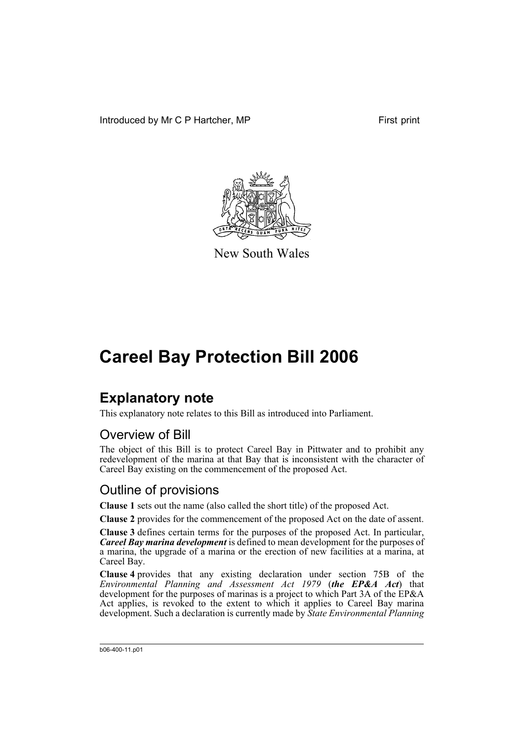Introduced by Mr C P Hartcher, MP First print



New South Wales

## **Careel Bay Protection Bill 2006**

## **Explanatory note**

This explanatory note relates to this Bill as introduced into Parliament.

#### Overview of Bill

The object of this Bill is to protect Careel Bay in Pittwater and to prohibit any redevelopment of the marina at that Bay that is inconsistent with the character of Careel Bay existing on the commencement of the proposed Act.

### Outline of provisions

**Clause 1** sets out the name (also called the short title) of the proposed Act.

**Clause 2** provides for the commencement of the proposed Act on the date of assent.

**Clause 3** defines certain terms for the purposes of the proposed Act. In particular, *Careel Bay marina development* is defined to mean development for the purposes of a marina, the upgrade of a marina or the erection of new facilities at a marina, at Careel Bay.

**Clause 4** provides that any existing declaration under section 75B of the *Environmental Planning and Assessment Act 1979* (*the EP&A Act*) that development for the purposes of marinas is a project to which Part 3A of the EP&A Act applies, is revoked to the extent to which it applies to Careel Bay marina development. Such a declaration is currently made by *State Environmental Planning*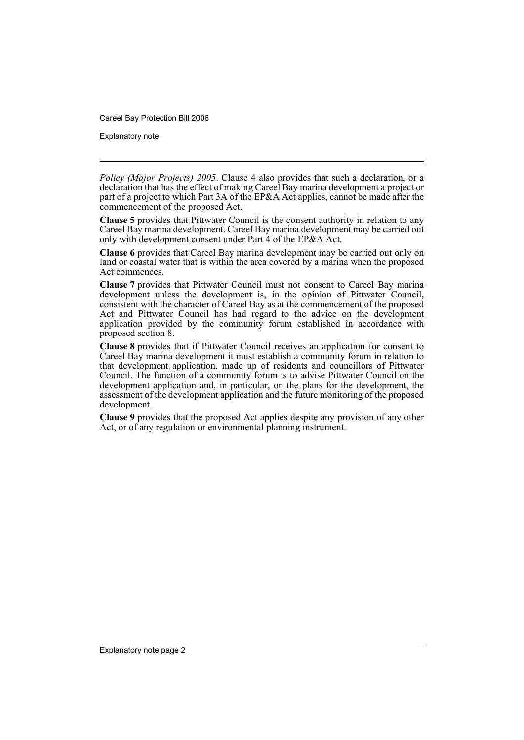Careel Bay Protection Bill 2006

Explanatory note

*Policy (Major Projects) 2005*. Clause 4 also provides that such a declaration, or a declaration that has the effect of making Careel Bay marina development a project or part of a project to which Part 3A of the EP&A Act applies, cannot be made after the commencement of the proposed Act.

**Clause 5** provides that Pittwater Council is the consent authority in relation to any Careel Bay marina development. Careel Bay marina development may be carried out only with development consent under Part 4 of the EP&A Act.

**Clause 6** provides that Careel Bay marina development may be carried out only on land or coastal water that is within the area covered by a marina when the proposed Act commences.

**Clause 7** provides that Pittwater Council must not consent to Careel Bay marina development unless the development is, in the opinion of Pittwater Council, consistent with the character of Careel Bay as at the commencement of the proposed Act and Pittwater Council has had regard to the advice on the development application provided by the community forum established in accordance with proposed section 8.

**Clause 8** provides that if Pittwater Council receives an application for consent to Careel Bay marina development it must establish a community forum in relation to that development application, made up of residents and councillors of Pittwater Council. The function of a community forum is to advise Pittwater Council on the development application and, in particular, on the plans for the development, the assessment of the development application and the future monitoring of the proposed development.

**Clause 9** provides that the proposed Act applies despite any provision of any other Act, or of any regulation or environmental planning instrument.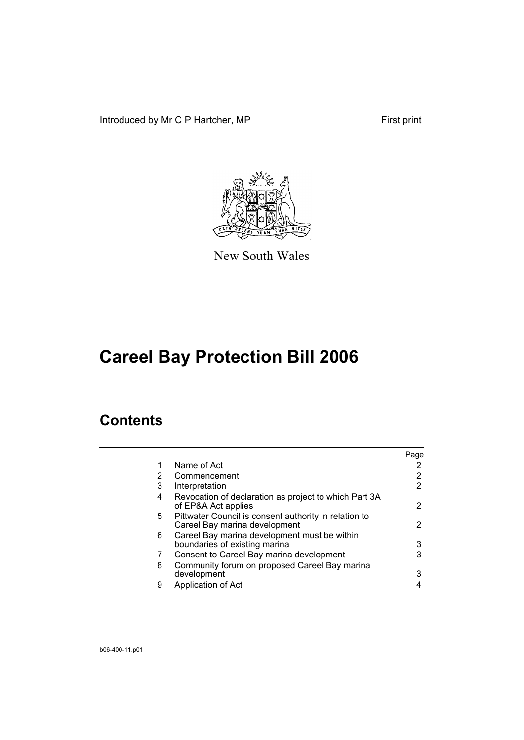Introduced by Mr C P Hartcher, MP First print



New South Wales

# **Careel Bay Protection Bill 2006**

### **Contents**

|    |                                                                                        | Page |
|----|----------------------------------------------------------------------------------------|------|
| 1  | Name of Act                                                                            |      |
| 2  | Commencement                                                                           | 2    |
| 3  | Interpretation                                                                         | 2    |
| 4  | Revocation of declaration as project to which Part 3A<br>of EP&A Act applies           | 2    |
| 5. | Pittwater Council is consent authority in relation to<br>Careel Bay marina development | 2    |
| 6  | Careel Bay marina development must be within<br>boundaries of existing marina          | 3    |
| 7  | Consent to Careel Bay marina development                                               | 3    |
| 8  | Community forum on proposed Careel Bay marina<br>development                           | з    |
| 9  | Application of Act                                                                     |      |
|    |                                                                                        |      |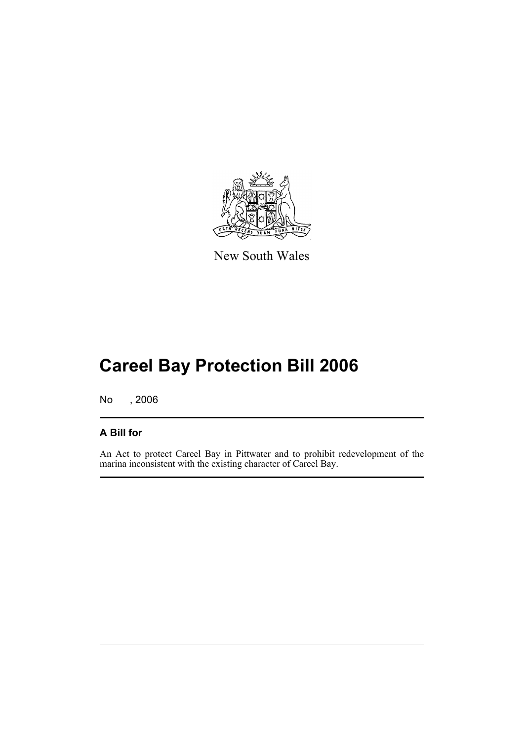

New South Wales

# **Careel Bay Protection Bill 2006**

No , 2006

#### **A Bill for**

An Act to protect Careel Bay in Pittwater and to prohibit redevelopment of the marina inconsistent with the existing character of Careel Bay.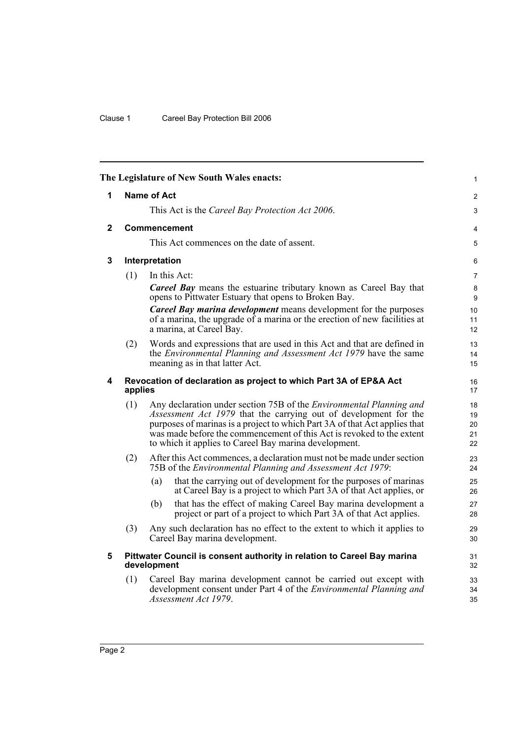<span id="page-5-4"></span><span id="page-5-3"></span><span id="page-5-2"></span><span id="page-5-1"></span><span id="page-5-0"></span>

|   |         | The Legislature of New South Wales enacts:                                                                                                                                                                                                                                                                                                                     | $\mathbf{1}$                   |
|---|---------|----------------------------------------------------------------------------------------------------------------------------------------------------------------------------------------------------------------------------------------------------------------------------------------------------------------------------------------------------------------|--------------------------------|
| 1 |         | <b>Name of Act</b>                                                                                                                                                                                                                                                                                                                                             | $\overline{2}$                 |
|   |         | This Act is the Careel Bay Protection Act 2006.                                                                                                                                                                                                                                                                                                                | 3                              |
| 2 |         | <b>Commencement</b>                                                                                                                                                                                                                                                                                                                                            | 4                              |
|   |         | This Act commences on the date of assent.                                                                                                                                                                                                                                                                                                                      | 5                              |
| 3 |         | Interpretation                                                                                                                                                                                                                                                                                                                                                 | 6                              |
|   | (1)     | In this Act:                                                                                                                                                                                                                                                                                                                                                   | $\overline{7}$                 |
|   |         | <b>Careel Bay</b> means the estuarine tributary known as Careel Bay that<br>opens to Pittwater Estuary that opens to Broken Bay.                                                                                                                                                                                                                               | 8<br>9                         |
|   |         | <b>Careel Bay marina development</b> means development for the purposes<br>of a marina, the upgrade of a marina or the erection of new facilities at<br>a marina, at Careel Bay.                                                                                                                                                                               | 10<br>11<br>12                 |
|   | (2)     | Words and expressions that are used in this Act and that are defined in<br>the <i>Environmental Planning and Assessment Act 1979</i> have the same<br>meaning as in that latter Act.                                                                                                                                                                           | 13<br>14<br>15                 |
| 4 | applies | Revocation of declaration as project to which Part 3A of EP&A Act                                                                                                                                                                                                                                                                                              | 16<br>17                       |
|   | (1)     | Any declaration under section 75B of the <i>Environmental Planning and</i><br>Assessment Act 1979 that the carrying out of development for the<br>purposes of marinas is a project to which Part 3A of that Act applies that<br>was made before the commencement of this Act is revoked to the extent<br>to which it applies to Careel Bay marina development. | 18<br>19<br>$20\,$<br>21<br>22 |
|   | (2)     | After this Act commences, a declaration must not be made under section<br>75B of the Environmental Planning and Assessment Act 1979:                                                                                                                                                                                                                           | 23<br>24                       |
|   |         | that the carrying out of development for the purposes of marinas<br>(a)<br>at Careel Bay is a project to which Part 3A of that Act applies, or                                                                                                                                                                                                                 | 25<br>26                       |
|   |         | that has the effect of making Careel Bay marina development a<br>(b)<br>project or part of a project to which Part 3A of that Act applies.                                                                                                                                                                                                                     | 27<br>28                       |
|   | (3)     | Any such declaration has no effect to the extent to which it applies to<br>Careel Bay marina development.                                                                                                                                                                                                                                                      | 29<br>30                       |
| 5 |         | Pittwater Council is consent authority in relation to Careel Bay marina<br>development                                                                                                                                                                                                                                                                         | 31<br>32                       |
|   | (1)     | Careel Bay marina development cannot be carried out except with<br>development consent under Part 4 of the <i>Environmental Planning and</i><br>Assessment Act 1979.                                                                                                                                                                                           | 33<br>34<br>35                 |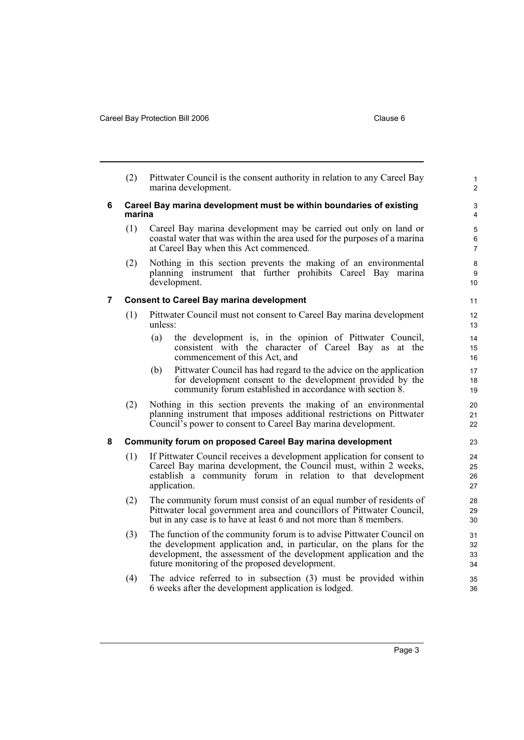<span id="page-6-2"></span><span id="page-6-1"></span><span id="page-6-0"></span>(2) Pittwater Council is the consent authority in relation to any Careel Bay marina development. **6 Careel Bay marina development must be within boundaries of existing marina** (1) Careel Bay marina development may be carried out only on land or coastal water that was within the area used for the purposes of a marina at Careel Bay when this Act commenced. (2) Nothing in this section prevents the making of an environmental planning instrument that further prohibits Careel Bay marina development. **7 Consent to Careel Bay marina development** (1) Pittwater Council must not consent to Careel Bay marina development unless: (a) the development is, in the opinion of Pittwater Council, consistent with the character of Careel Bay as at the commencement of this Act, and (b) Pittwater Council has had regard to the advice on the application for development consent to the development provided by the community forum established in accordance with section 8. (2) Nothing in this section prevents the making of an environmental planning instrument that imposes additional restrictions on Pittwater Council's power to consent to Careel Bay marina development. **8 Community forum on proposed Careel Bay marina development** (1) If Pittwater Council receives a development application for consent to Careel Bay marina development, the Council must, within 2 weeks, establish a community forum in relation to that development application. (2) The community forum must consist of an equal number of residents of Pittwater local government area and councillors of Pittwater Council, but in any case is to have at least 6 and not more than 8 members. (3) The function of the community forum is to advise Pittwater Council on the development application and, in particular, on the plans for the development, the assessment of the development application and the future monitoring of the proposed development. (4) The advice referred to in subsection (3) must be provided within 6 weeks after the development application is lodged. 1  $\overline{2}$ 3 4 5 6 7 8 9 10 11 12 13 14 15 16 17 18 19 20 21 22 23  $24$ 25 26 27 28 29 30 31 32 33 34 35 36